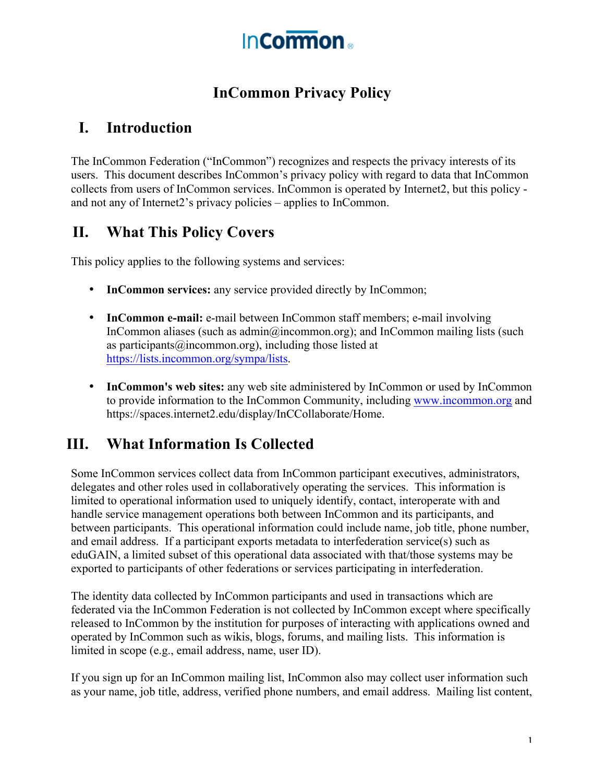

## **InCommon Privacy Policy**

#### **I. Introduction**

The InCommon Federation ("InCommon") recognizes and respects the privacy interests of its users. This document describes InCommon's privacy policy with regard to data that InCommon collects from users of InCommon services. InCommon is operated by Internet2, but this policy and not any of Internet2's privacy policies – applies to InCommon.

### **II. What This Policy Covers**

This policy applies to the following systems and services:

- **InCommon services:** any service provided directly by InCommon;
- **InCommon e-mail:** e-mail between InCommon staff members; e-mail involving InCommon aliases (such as admin@incommon.org); and InCommon mailing lists (such as participants  $(a)$  incommon.org), including those listed at https://lists.incommon.org/sympa/lists.
- **InCommon's web sites:** any web site administered by InCommon or used by InCommon to provide information to the InCommon Community, including www.incommon.org and https://spaces.internet2.edu/display/InCCollaborate/Home.

### **III. What Information Is Collected**

Some InCommon services collect data from InCommon participant executives, administrators, delegates and other roles used in collaboratively operating the services. This information is limited to operational information used to uniquely identify, contact, interoperate with and handle service management operations both between InCommon and its participants, and between participants. This operational information could include name, job title, phone number, and email address. If a participant exports metadata to interfederation service(s) such as eduGAIN, a limited subset of this operational data associated with that/those systems may be exported to participants of other federations or services participating in interfederation.

The identity data collected by InCommon participants and used in transactions which are federated via the InCommon Federation is not collected by InCommon except where specifically released to InCommon by the institution for purposes of interacting with applications owned and operated by InCommon such as wikis, blogs, forums, and mailing lists. This information is limited in scope (e.g., email address, name, user ID).

If you sign up for an InCommon mailing list, InCommon also may collect user information such as your name, job title, address, verified phone numbers, and email address. Mailing list content,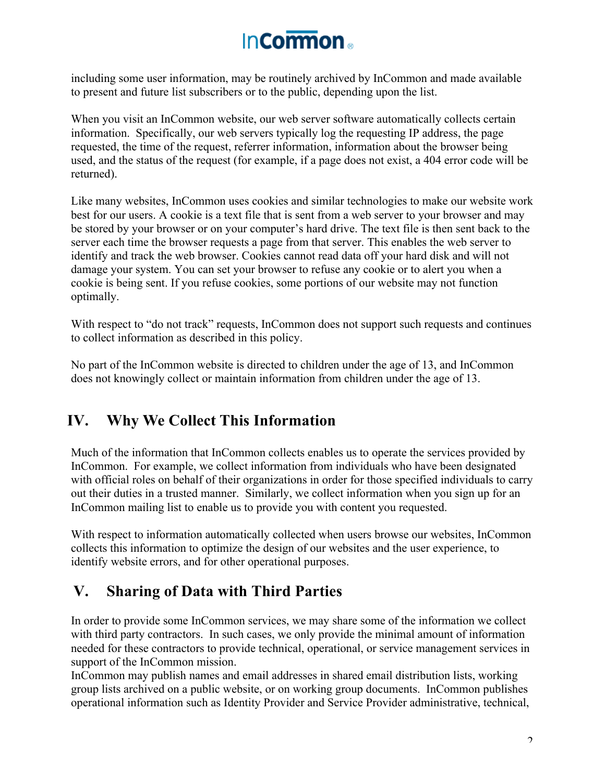# **InCormon**

including some user information, may be routinely archived by InCommon and made available to present and future list subscribers or to the public, depending upon the list.

When you visit an InCommon website, our web server software automatically collects certain information. Specifically, our web servers typically log the requesting IP address, the page requested, the time of the request, referrer information, information about the browser being used, and the status of the request (for example, if a page does not exist, a 404 error code will be returned).

Like many websites, InCommon uses cookies and similar technologies to make our website work best for our users. A cookie is a text file that is sent from a web server to your browser and may be stored by your browser or on your computer's hard drive. The text file is then sent back to the server each time the browser requests a page from that server. This enables the web server to identify and track the web browser. Cookies cannot read data off your hard disk and will not damage your system. You can set your browser to refuse any cookie or to alert you when a cookie is being sent. If you refuse cookies, some portions of our website may not function optimally.

With respect to "do not track" requests, InCommon does not support such requests and continues to collect information as described in this policy.

No part of the InCommon website is directed to children under the age of 13, and InCommon does not knowingly collect or maintain information from children under the age of 13.

### **IV. Why We Collect This Information**

Much of the information that InCommon collects enables us to operate the services provided by InCommon. For example, we collect information from individuals who have been designated with official roles on behalf of their organizations in order for those specified individuals to carry out their duties in a trusted manner. Similarly, we collect information when you sign up for an InCommon mailing list to enable us to provide you with content you requested.

With respect to information automatically collected when users browse our websites, InCommon collects this information to optimize the design of our websites and the user experience, to identify website errors, and for other operational purposes.

### **V. Sharing of Data with Third Parties**

In order to provide some InCommon services, we may share some of the information we collect with third party contractors. In such cases, we only provide the minimal amount of information needed for these contractors to provide technical, operational, or service management services in support of the InCommon mission.

InCommon may publish names and email addresses in shared email distribution lists, working group lists archived on a public website, or on working group documents. InCommon publishes operational information such as Identity Provider and Service Provider administrative, technical,